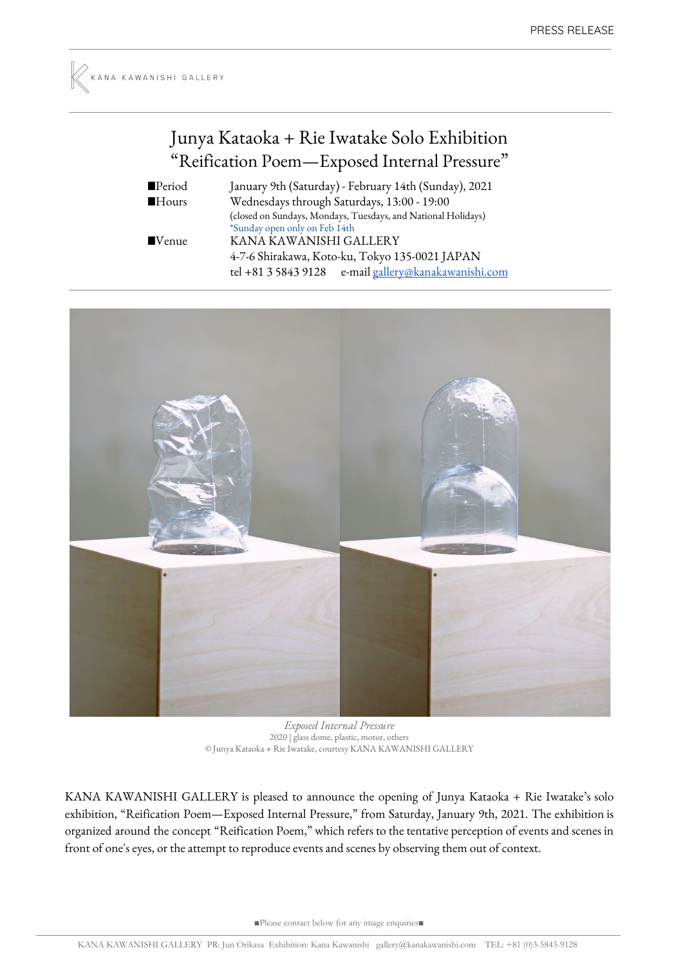## Junya Kataoka + Rie Iwatake Solo Exhibition "Reification Poem—Exposed Internal Pressure "

| ■Period              | January 9th (Saturday) - February 14th (Sunday), 2021         |
|----------------------|---------------------------------------------------------------|
| $\blacksquare$ Hours | Wednesdays through Saturdays, 13:00 - 19:00                   |
|                      | (closed on Sundays, Mondays, Tuesdays, and National Holidays) |
|                      | *Sunday open only on Feb 14th                                 |
| $\blacksquare$ Venue | KANA KAWANISHI GALLERY                                        |
|                      | 4-7-6 Shirakawa, Koto-ku, Tokyo 135-0021 JAPAN                |
|                      | e-mail gallery@kanakawanishi.com<br>tel +81 3 5843 9128       |



*Exposed Internal Pressure* 2020 | glass dome, plastic, motor, others © Junya Kataoka + Rie Iwatake, courtesy KANA KAWANISHI GALLERY

KANA KAWANISHI GALLERY is pleased to announce the opening of Junya Kataoka + Rie Iwatake's solo exhibition, "Reification Poem—Exposed Internal Pressure," from Saturday, January 9th, 2021. The exhibition is organized around the concept "Reification Poem," which refers to the tentative perception of events and scenes in front of one's eyes, or the attempt to reproduce events and scenes by observing them out of context.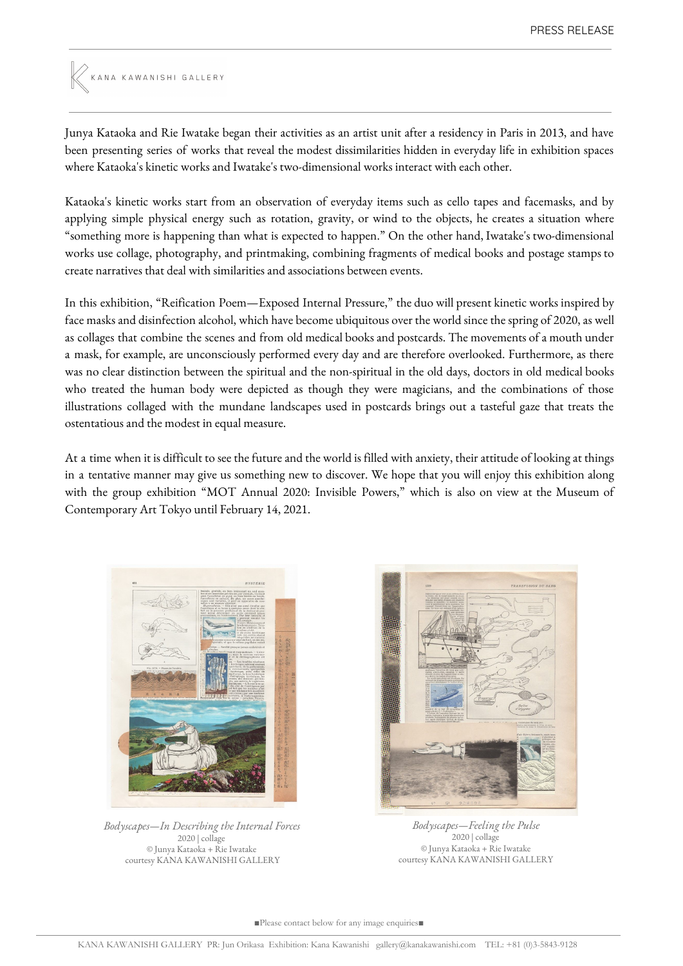

Junya Kataoka and Rie Iwatake began their activities as an artist unit after a residency in Paris in 2013, and have been presenting series of works that reveal the modest dissimilarities hidden in everyday life in exhibition spaces where Kataoka's kinetic works and Iwatake's two-dimensional works interact with each other.

Kataoka's kinetic works start from an observation of everyday items such as cello tapes and facemasks, and by applying simple physical energy such as rotation, gravity, or wind to the objects, he creates a situation where "something more is happening than what is expected to happen." On the other hand, Iwatake's two-dimensional works use collage, photography, and printmaking, combining fragments of medical books and postage stamps to create narratives that deal with similarities and associations between events.

In this exhibition, "Reification Poem—Exposed Internal Pressure," the duo will present kinetic works inspired by face masks and disinfection alcohol, which have become ubiquitous over the world since the spring of 2020, as well as collages that combine the scenes and from old medical books and postcards. The movements of a mouth under a mask, for example, are unconsciously performed every day and are therefore overlooked. Furthermore, as there was no clear distinction between the spiritual and the non-spiritual in the old days, doctors in old medical books who treated the human body were depicted as though they were magicians, and the combinations of those illustrations collaged with the mundane landscapes used in postcards brings out a tasteful gaze that treats the ostentatious and the modest in equal measure.

At a time when it is difficult to see the future and the world is filled with anxiety, their attitude of looking at things in a tentative manner may give us something new to discover. We hope that you will enjoy this exhibition along with the group exhibition "MOT Annual 2020: Invisible Powers," which is also on view at the Museum of Contemporary Art Tokyo until February 14, 2021.



*Bodyscapes—In Describing the Internal Forces* 2020 | collage © Junya Kataoka + Rie Iwatake courtesy KANA KAWANISHI GALLERY



*Bodyscapes—Feeling the Pulse* 2020 | collage © Junya Kataoka + Rie Iwatake courtesy KANA KAWANISHI GALLERY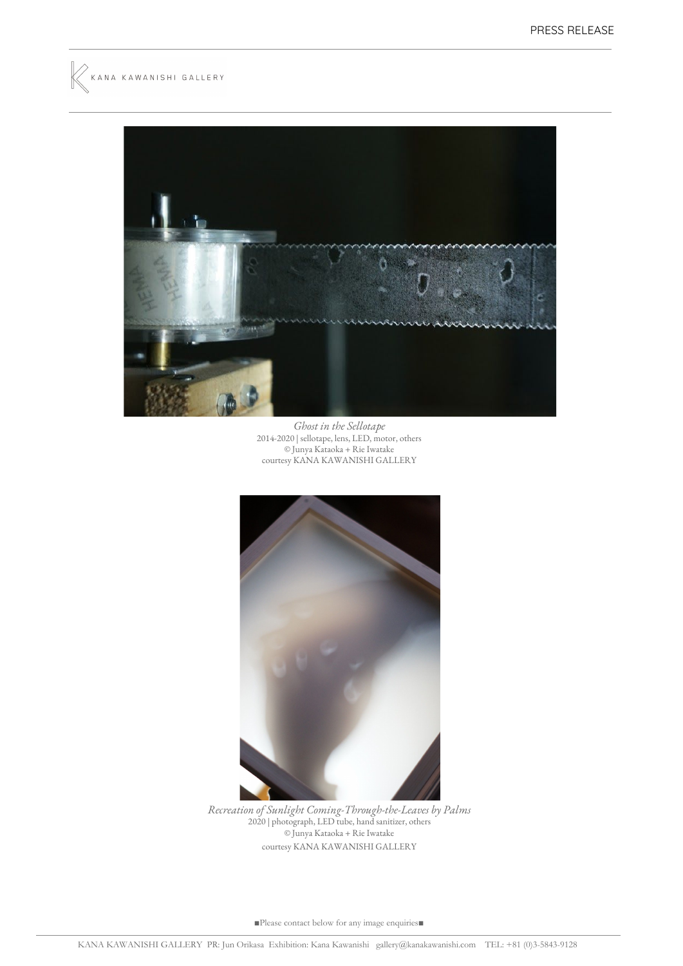



*Ghost in the Sellotape* 2014-2020 | sellotape, lens, LED, motor, others © Junya Kataoka + Rie Iwatake courtesy KANA KAWANISHI GALLERY



*Recreation of Sunlight Coming-Through-the-Leaves by Palms* 2020 | photograph, LED tube, hand sanitizer, others © Junya Kataoka + Rie Iwatake courtesy KANA KAWANISHI GALLERY